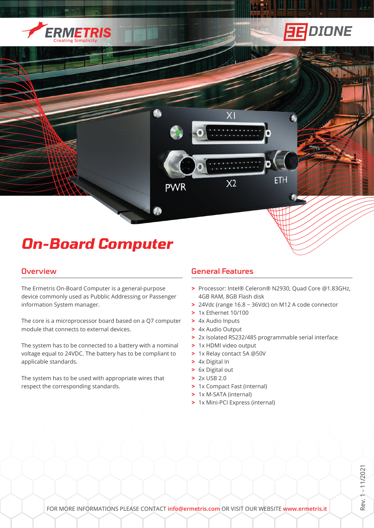



# *On-Board Computer*

#### **Overview**

The Ermetris On-Board Computer is a general-purpose device commonly used as Pubblic Addressing or Passenger information System manager.

The core is a microprocessor board based on a Q7 computer module that connects to external devices.

The system has to be connected to a battery with a nominal voltage equal to 24VDC. The battery has to be compliant to applicable standards.

The system has to be used with appropriate wires that respect the corresponding standards.

# General Features

 $X<sub>1</sub>$ 

 $X<sub>2</sub>$ 

**PWR** 

**>** Processor: Intel® Celeron® N2930, Quad Core @1.83GHz, 4GB RAM, 8GB Flash disk

ETH

- **>** 24Vdc (range 16.8 ~ 36Vdc) on M12 A code connector
- **>** 1x Ethernet 10/100
- **>** 4x Audio Inputs
- **>** 4x Audio Output
- **>** 2x Isolated RS232/485 programmable serial interface
- **>** 1x HDMI video output
- **>** 1x Relay contact 5A @50V
- **>** 4x Digital In
- **>** 6x Digital out
- **>** 2x USB 2.0
- **>** 1x Compact Fast (internal)
- **>** 1x M-SATA (internal)
- **>** 1x Mini-PCI Express (internal)